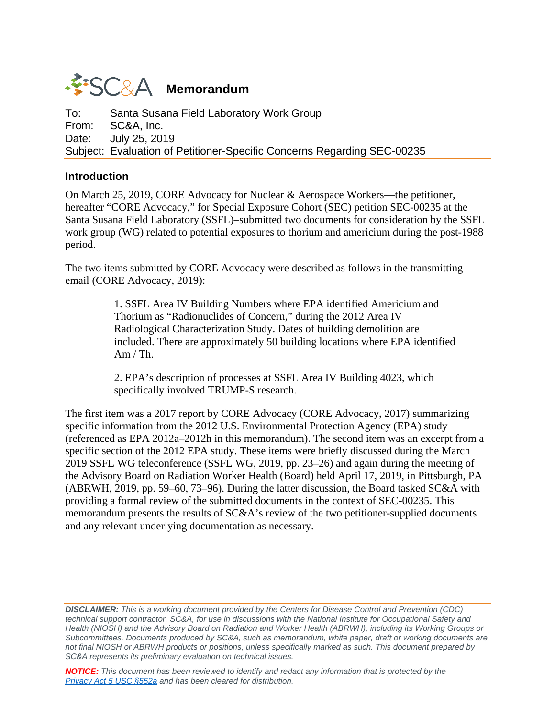# **WESC&A** Memorandum

To: Santa Susana Field Laboratory Work Group<br>From: SC&A. Inc. SC&A, Inc. Date: July 25, 2019 Subject: Evaluation of Petitioner-Specific Concerns Regarding SEC-00235

#### **Introduction**

On March 25, 2019, CORE Advocacy for Nuclear & Aerospace Workers—the petitioner, hereafter "CORE Advocacy," for Special Exposure Cohort (SEC) petition SEC-00235 at the Santa Susana Field Laboratory (SSFL)–submitted two documents for consideration by the SSFL work group (WG) related to potential exposures to thorium and americium during the post-1988 period.

The two items submitted by CORE Advocacy were described as follows in the transmitting email (CORE Advocacy, 2019):

> 1. SSFL Area IV Building Numbers where EPA identified Americium and Thorium as "Radionuclides of Concern," during the 2012 Area IV Radiological Characterization Study. Dates of building demolition are included. There are approximately 50 building locations where EPA identified  $Am / Th.$

2. EPA's description of processes at SSFL Area IV Building 4023, which specifically involved TRUMP-S research.

The first item was a 2017 report by CORE Advocacy (CORE Advocacy, 2017) summarizing specific information from the 2012 U.S. Environmental Protection Agency (EPA) study (referenced as EPA 2012a–2012h in this memorandum). The second item was an excerpt from a specific section of the 2012 EPA study. These items were briefly discussed during the March 2019 SSFL WG teleconference (SSFL WG, 2019, pp. 23–26) and again during the meeting of the Advisory Board on Radiation Worker Health (Board) held April 17, 2019, in Pittsburgh, PA (ABRWH, 2019, pp. 59–60, 73–96). During the latter discussion, the Board tasked SC&A with providing a formal review of the submitted documents in the context of SEC-00235. This memorandum presents the results of SC&A's review of the two petitioner-supplied documents and any relevant underlying documentation as necessary.

*DISCLAIMER: This is a working document provided by the Centers for Disease Control and Prevention (CDC) technical support contractor, SC&A, for use in discussions with the National Institute for Occupational Safety and Health (NIOSH) and the Advisory Board on Radiation and Worker Health (ABRWH), including its Working Groups or Subcommittees. Documents produced by SC&A, such as memorandum, white paper, draft or working documents are not final NIOSH or ABRWH products or positions, unless specifically marked as such. This document prepared by SC&A represents its preliminary evaluation on technical issues.*

*NOTICE: This document has been reviewed to identify and redact any information that is protected by the [Privacy Act 5 USC §552a](http://www.justice.gov/opcl/privacy-act-1974) and has been cleared for distribution.*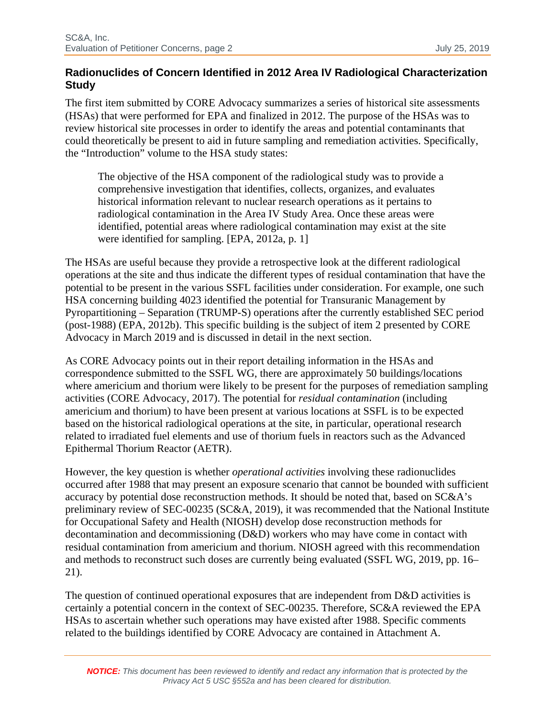### **Radionuclides of Concern Identified in 2012 Area IV Radiological Characterization Study**

The first item submitted by CORE Advocacy summarizes a series of historical site assessments (HSAs) that were performed for EPA and finalized in 2012. The purpose of the HSAs was to review historical site processes in order to identify the areas and potential contaminants that could theoretically be present to aid in future sampling and remediation activities. Specifically, the "Introduction" volume to the HSA study states:

The objective of the HSA component of the radiological study was to provide a comprehensive investigation that identifies, collects, organizes, and evaluates historical information relevant to nuclear research operations as it pertains to radiological contamination in the Area IV Study Area. Once these areas were identified, potential areas where radiological contamination may exist at the site were identified for sampling. [EPA, 2012a, p. 1]

The HSAs are useful because they provide a retrospective look at the different radiological operations at the site and thus indicate the different types of residual contamination that have the potential to be present in the various SSFL facilities under consideration. For example, one such HSA concerning building 4023 identified the potential for Transuranic Management by Pyropartitioning – Separation (TRUMP-S) operations after the currently established SEC period (post-1988) (EPA, 2012b). This specific building is the subject of item 2 presented by CORE Advocacy in March 2019 and is discussed in detail in the next section.

As CORE Advocacy points out in their report detailing information in the HSAs and correspondence submitted to the SSFL WG, there are approximately 50 buildings/locations where americium and thorium were likely to be present for the purposes of remediation sampling activities (CORE Advocacy, 2017). The potential for *residual contamination* (including americium and thorium) to have been present at various locations at SSFL is to be expected based on the historical radiological operations at the site, in particular, operational research related to irradiated fuel elements and use of thorium fuels in reactors such as the Advanced Epithermal Thorium Reactor (AETR).

However, the key question is whether *operational activities* involving these radionuclides occurred after 1988 that may present an exposure scenario that cannot be bounded with sufficient accuracy by potential dose reconstruction methods. It should be noted that, based on SC&A's preliminary review of SEC-00235 (SC&A, 2019), it was recommended that the National Institute for Occupational Safety and Health (NIOSH) develop dose reconstruction methods for decontamination and decommissioning (D&D) workers who may have come in contact with residual contamination from americium and thorium. NIOSH agreed with this recommendation and methods to reconstruct such doses are currently being evaluated (SSFL WG, 2019, pp. 16– 21).

The question of continued operational exposures that are independent from D&D activities is certainly a potential concern in the context of SEC-00235. Therefore, SC&A reviewed the EPA HSAs to ascertain whether such operations may have existed after 1988. Specific comments related to the buildings identified by CORE Advocacy are contained in Attachment A.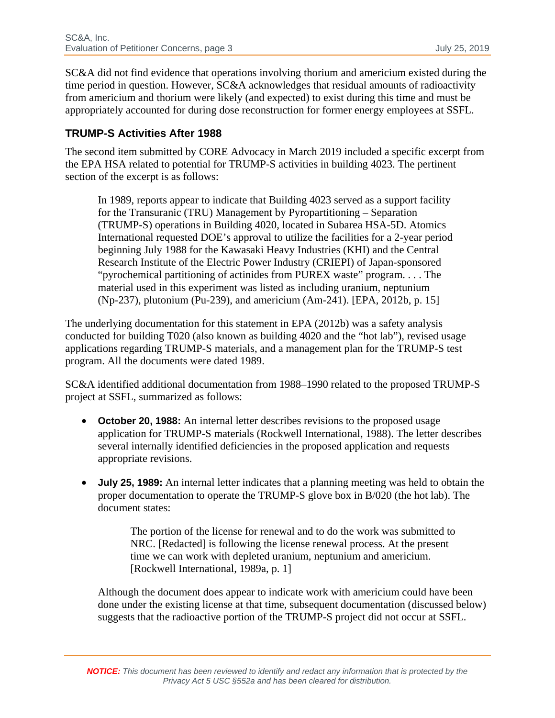SC&A did not find evidence that operations involving thorium and americium existed during the time period in question. However, SC&A acknowledges that residual amounts of radioactivity from americium and thorium were likely (and expected) to exist during this time and must be appropriately accounted for during dose reconstruction for former energy employees at SSFL.

### **TRUMP-S Activities After 1988**

The second item submitted by CORE Advocacy in March 2019 included a specific excerpt from the EPA HSA related to potential for TRUMP-S activities in building 4023. The pertinent section of the excerpt is as follows:

In 1989, reports appear to indicate that Building 4023 served as a support facility for the Transuranic (TRU) Management by Pyropartitioning – Separation (TRUMP-S) operations in Building 4020, located in Subarea HSA-5D. Atomics International requested DOE's approval to utilize the facilities for a 2-year period beginning July 1988 for the Kawasaki Heavy Industries (KHI) and the Central Research Institute of the Electric Power Industry (CRIEPI) of Japan-sponsored "pyrochemical partitioning of actinides from PUREX waste" program. . . . The material used in this experiment was listed as including uranium, neptunium (Np-237), plutonium (Pu-239), and americium (Am-241). [EPA, 2012b, p. 15]

The underlying documentation for this statement in EPA (2012b) was a safety analysis conducted for building T020 (also known as building 4020 and the "hot lab"), revised usage applications regarding TRUMP-S materials, and a management plan for the TRUMP-S test program. All the documents were dated 1989.

SC&A identified additional documentation from 1988–1990 related to the proposed TRUMP-S project at SSFL, summarized as follows:

- **October 20, 1988:** An internal letter describes revisions to the proposed usage application for TRUMP-S materials (Rockwell International, 1988). The letter describes several internally identified deficiencies in the proposed application and requests appropriate revisions.
- **July 25, 1989:** An internal letter indicates that a planning meeting was held to obtain the proper documentation to operate the TRUMP-S glove box in B/020 (the hot lab). The document states:

The portion of the license for renewal and to do the work was submitted to NRC. [Redacted] is following the license renewal process. At the present time we can work with depleted uranium, neptunium and americium. [Rockwell International, 1989a, p. 1]

Although the document does appear to indicate work with americium could have been done under the existing license at that time, subsequent documentation (discussed below) suggests that the radioactive portion of the TRUMP-S project did not occur at SSFL.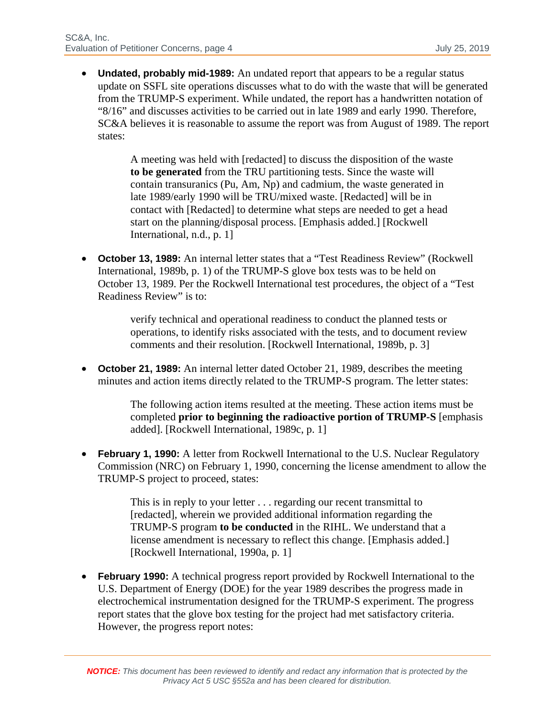• **Undated, probably mid-1989:** An undated report that appears to be a regular status update on SSFL site operations discusses what to do with the waste that will be generated from the TRUMP-S experiment. While undated, the report has a handwritten notation of "8/16" and discusses activities to be carried out in late 1989 and early 1990. Therefore, SC&A believes it is reasonable to assume the report was from August of 1989. The report states:

> A meeting was held with [redacted] to discuss the disposition of the waste **to be generated** from the TRU partitioning tests. Since the waste will contain transuranics (Pu, Am, Np) and cadmium, the waste generated in late 1989/early 1990 will be TRU/mixed waste. [Redacted] will be in contact with [Redacted] to determine what steps are needed to get a head start on the planning/disposal process. [Emphasis added.] [Rockwell International, n.d., p. 1]

• **October 13, 1989:** An internal letter states that a "Test Readiness Review" (Rockwell International, 1989b, p. 1) of the TRUMP-S glove box tests was to be held on October 13, 1989. Per the Rockwell International test procedures, the object of a "Test Readiness Review" is to:

> verify technical and operational readiness to conduct the planned tests or operations, to identify risks associated with the tests, and to document review comments and their resolution. [Rockwell International, 1989b, p. 3]

• **October 21, 1989:** An internal letter dated October 21, 1989, describes the meeting minutes and action items directly related to the TRUMP-S program. The letter states:

> The following action items resulted at the meeting. These action items must be completed **prior to beginning the radioactive portion of TRUMP-S** [emphasis added]. [Rockwell International, 1989c, p. 1]

• **February 1, 1990:** A letter from Rockwell International to the U.S. Nuclear Regulatory Commission (NRC) on February 1, 1990, concerning the license amendment to allow the TRUMP-S project to proceed, states:

> This is in reply to your letter . . . regarding our recent transmittal to [redacted], wherein we provided additional information regarding the TRUMP-S program **to be conducted** in the RIHL. We understand that a license amendment is necessary to reflect this change. [Emphasis added.] [Rockwell International, 1990a, p. 1]

• **February 1990:** A technical progress report provided by Rockwell International to the U.S. Department of Energy (DOE) for the year 1989 describes the progress made in electrochemical instrumentation designed for the TRUMP-S experiment. The progress report states that the glove box testing for the project had met satisfactory criteria. However, the progress report notes: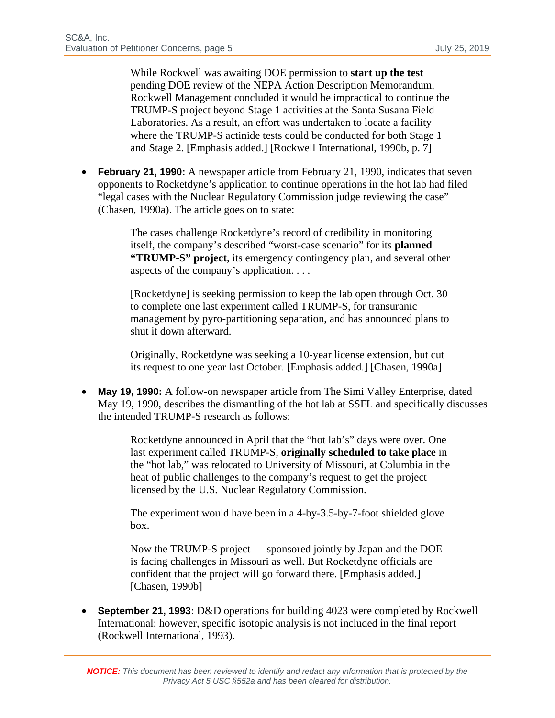While Rockwell was awaiting DOE permission to **start up the test** pending DOE review of the NEPA Action Description Memorandum, Rockwell Management concluded it would be impractical to continue the TRUMP-S project beyond Stage 1 activities at the Santa Susana Field Laboratories. As a result, an effort was undertaken to locate a facility where the TRUMP-S actinide tests could be conducted for both Stage 1 and Stage 2. [Emphasis added.] [Rockwell International, 1990b, p. 7]

• **February 21, 1990:** A newspaper article from February 21, 1990, indicates that seven opponents to Rocketdyne's application to continue operations in the hot lab had filed "legal cases with the Nuclear Regulatory Commission judge reviewing the case" (Chasen, 1990a). The article goes on to state:

> The cases challenge Rocketdyne's record of credibility in monitoring itself, the company's described "worst-case scenario" for its **planned "TRUMP-S" project**, its emergency contingency plan, and several other aspects of the company's application. . . .

> [Rocketdyne] is seeking permission to keep the lab open through Oct. 30 to complete one last experiment called TRUMP-S, for transuranic management by pyro-partitioning separation, and has announced plans to shut it down afterward.

Originally, Rocketdyne was seeking a 10-year license extension, but cut its request to one year last October. [Emphasis added.] [Chasen, 1990a]

• **May 19, 1990:** A follow-on newspaper article from The Simi Valley Enterprise, dated May 19, 1990, describes the dismantling of the hot lab at SSFL and specifically discusses the intended TRUMP-S research as follows:

> Rocketdyne announced in April that the "hot lab's" days were over. One last experiment called TRUMP-S, **originally scheduled to take place** in the "hot lab," was relocated to University of Missouri, at Columbia in the heat of public challenges to the company's request to get the project licensed by the U.S. Nuclear Regulatory Commission.

The experiment would have been in a 4-by-3.5-by-7-foot shielded glove box.

Now the TRUMP-S project — sponsored jointly by Japan and the DOE – is facing challenges in Missouri as well. But Rocketdyne officials are confident that the project will go forward there. [Emphasis added.] [Chasen, 1990b]

• **September 21, 1993:** D&D operations for building 4023 were completed by Rockwell International; however, specific isotopic analysis is not included in the final report (Rockwell International, 1993).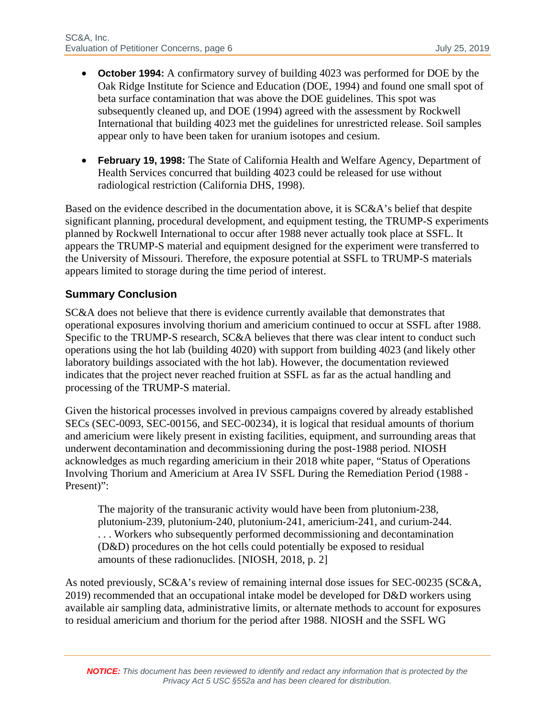- **October 1994:** A confirmatory survey of building 4023 was performed for DOE by the Oak Ridge Institute for Science and Education (DOE, 1994) and found one small spot of beta surface contamination that was above the DOE guidelines. This spot was subsequently cleaned up, and DOE (1994) agreed with the assessment by Rockwell International that building 4023 met the guidelines for unrestricted release. Soil samples appear only to have been taken for uranium isotopes and cesium.
- **February 19, 1998:** The State of California Health and Welfare Agency, Department of Health Services concurred that building 4023 could be released for use without radiological restriction (California DHS, 1998).

Based on the evidence described in the documentation above, it is SC&A's belief that despite significant planning, procedural development, and equipment testing, the TRUMP-S experiments planned by Rockwell International to occur after 1988 never actually took place at SSFL. It appears the TRUMP-S material and equipment designed for the experiment were transferred to the University of Missouri. Therefore, the exposure potential at SSFL to TRUMP-S materials appears limited to storage during the time period of interest.

## **Summary Conclusion**

SC&A does not believe that there is evidence currently available that demonstrates that operational exposures involving thorium and americium continued to occur at SSFL after 1988. Specific to the TRUMP-S research, SC&A believes that there was clear intent to conduct such operations using the hot lab (building 4020) with support from building 4023 (and likely other laboratory buildings associated with the hot lab). However, the documentation reviewed indicates that the project never reached fruition at SSFL as far as the actual handling and processing of the TRUMP-S material.

Given the historical processes involved in previous campaigns covered by already established SECs (SEC-0093, SEC-00156, and SEC-00234), it is logical that residual amounts of thorium and americium were likely present in existing facilities, equipment, and surrounding areas that underwent decontamination and decommissioning during the post-1988 period. NIOSH acknowledges as much regarding americium in their 2018 white paper, "Status of Operations Involving Thorium and Americium at Area IV SSFL During the Remediation Period (1988 - Present)":

The majority of the transuranic activity would have been from plutonium-238, plutonium-239, plutonium-240, plutonium-241, americium-241, and curium-244. . . . Workers who subsequently performed decommissioning and decontamination (D&D) procedures on the hot cells could potentially be exposed to residual amounts of these radionuclides. [NIOSH, 2018, p. 2]

As noted previously, SC&A's review of remaining internal dose issues for SEC-00235 (SC&A, 2019) recommended that an occupational intake model be developed for D&D workers using available air sampling data, administrative limits, or alternate methods to account for exposures to residual americium and thorium for the period after 1988. NIOSH and the SSFL WG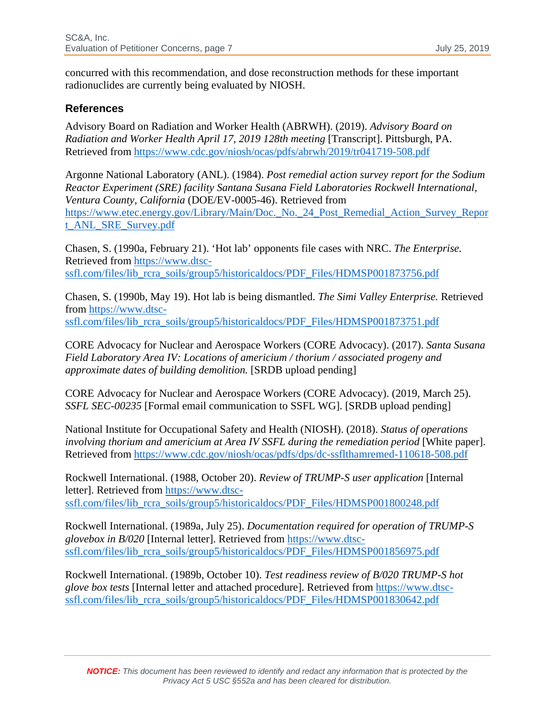concurred with this recommendation, and dose reconstruction methods for these important radionuclides are currently being evaluated by NIOSH.

#### **References**

Advisory Board on Radiation and Worker Health (ABRWH). (2019). *Advisory Board on Radiation and Worker Health April 17, 2019 128th meeting* [Transcript]. Pittsburgh, PA. Retrieved from<https://www.cdc.gov/niosh/ocas/pdfs/abrwh/2019/tr041719-508.pdf>

Argonne National Laboratory (ANL). (1984). *Post remedial action survey report for the Sodium Reactor Experiment (SRE) facility Santana Susana Field Laboratories Rockwell International, Ventura County, California* (DOE/EV-0005-46). Retrieved from [https://www.etec.energy.gov/Library/Main/Doc.\\_No.\\_24\\_Post\\_Remedial\\_Action\\_Survey\\_Repor](https://www.etec.energy.gov/Library/Main/Doc._No._24_Post_Remedial_Action_Survey_Report_ANL_SRE_Survey.pdf) [t\\_ANL\\_SRE\\_Survey.pdf](https://www.etec.energy.gov/Library/Main/Doc._No._24_Post_Remedial_Action_Survey_Report_ANL_SRE_Survey.pdf) 

Chasen, S. (1990a, February 21). 'Hot lab' opponents file cases with NRC. *The Enterprise.* Retrieved from [https://www.dtsc](https://www.dtsc-ssfl.com/files/lib_rcra_soils/group5/historicaldocs/PDF_Files/HDMSP001873756.pdf)ssfl.com/files/lib\_rcra\_soils/group5/historicaldocs/PDF\_Files/HDMSP001873756.pdf

Chasen, S. (1990b, May 19). Hot lab is being dismantled. *The Simi Valley Enterprise.* Retrieved from [https://www.dtsc](https://www.dtsc-ssfl.com/files/lib_rcra_soils/group5/historicaldocs/PDF_Files/HDMSP001873751.pdf)ssfl.com/files/lib\_rcra\_soils/group5/historicaldocs/PDF\_Files/HDMSP001873751.pdf

CORE Advocacy for Nuclear and Aerospace Workers (CORE Advocacy). (2017). *Santa Susana Field Laboratory Area IV: Locations of americium / thorium / associated progeny and approximate dates of building demolition.* [SRDB upload pending]

CORE Advocacy for Nuclear and Aerospace Workers (CORE Advocacy). (2019, March 25). *SSFL SEC-00235* [Formal email communication to SSFL WG]. [SRDB upload pending]

National Institute for Occupational Safety and Health (NIOSH). (2018). *Status of operations involving thorium and americium at Area IV SSFL during the remediation period* [White paper]. Retrieved from<https://www.cdc.gov/niosh/ocas/pdfs/dps/dc-ssflthamremed-110618-508.pdf>

Rockwell International. (1988, October 20). *Review of TRUMP-S user application* [Internal letter]. Retrieved from [https://www.dtsc](https://www.dtsc-ssfl.com/files/lib_rcra_soils/group5/historicaldocs/PDF_Files/HDMSP001800248.pdf)ssfl.com/files/lib\_rcra\_soils/group5/historicaldocs/PDF\_Files/HDMSP001800248.pdf

Rockwell International. (1989a, July 25). *Documentation required for operation of TRUMP-S glovebox in B/020* [Internal letter]. Retrieved from [https://www.dtsc](https://www.dtsc-ssfl.com/files/lib_rcra_soils/group5/historicaldocs/PDF_Files/HDMSP001856975.pdf)[ssfl.com/files/lib\\_rcra\\_soils/group5/historicaldocs/PDF\\_Files/HDMSP001856975.pdf](https://www.dtsc-ssfl.com/files/lib_rcra_soils/group5/historicaldocs/PDF_Files/HDMSP001856975.pdf)

Rockwell International. (1989b, October 10). *Test readiness review of B/020 TRUMP-S hot glove box tests* [Internal letter and attached procedure]. Retrieved from [https://www.dtsc](https://www.dtsc-ssfl.com/files/lib_rcra_soils/group5/historicaldocs/PDF_Files/HDMSP001830642.pdf)[ssfl.com/files/lib\\_rcra\\_soils/group5/historicaldocs/PDF\\_Files/HDMSP001830642.pdf](https://www.dtsc-ssfl.com/files/lib_rcra_soils/group5/historicaldocs/PDF_Files/HDMSP001830642.pdf)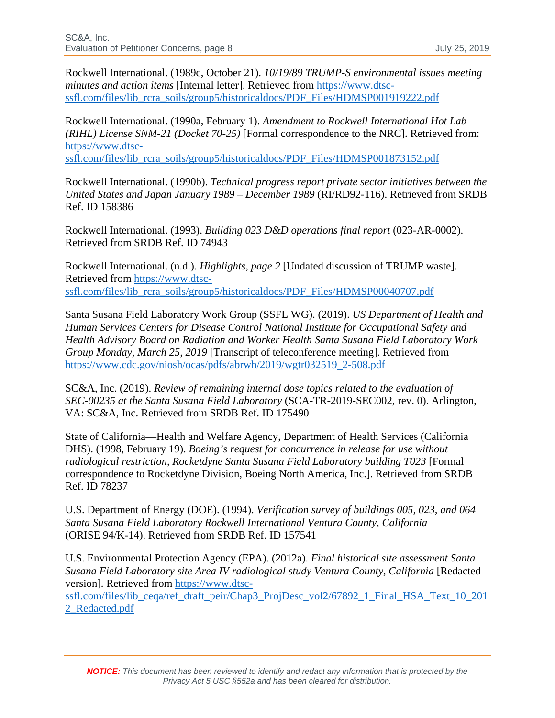Rockwell International. (1989c, October 21). *10/19/89 TRUMP-S environmental issues meeting minutes and action items* [Internal letter]. Retrieved from [https://www.dtsc](https://www.dtsc-ssfl.com/files/lib_rcra_soils/group5/historicaldocs/PDF_Files/HDMSP001919222.pdf)[ssfl.com/files/lib\\_rcra\\_soils/group5/historicaldocs/PDF\\_Files/HDMSP001919222.pdf](https://www.dtsc-ssfl.com/files/lib_rcra_soils/group5/historicaldocs/PDF_Files/HDMSP001919222.pdf)

Rockwell International. (1990a, February 1). *Amendment to Rockwell International Hot Lab (RIHL) License SNM-21 (Docket 70-25)* [Formal correspondence to the NRC]. Retrieved from: [https://www.dtsc-](https://www.dtsc-ssfl.com/files/lib_rcra_soils/group5/historicaldocs/PDF_Files/HDMSP001873152.pdf)

[ssfl.com/files/lib\\_rcra\\_soils/group5/historicaldocs/PDF\\_Files/HDMSP001873152.pdf](https://www.dtsc-ssfl.com/files/lib_rcra_soils/group5/historicaldocs/PDF_Files/HDMSP001873152.pdf)

Rockwell International. (1990b). *Technical progress report private sector initiatives between the United States and Japan January 1989 – December 1989* (RI/RD92-116). Retrieved from SRDB Ref. ID 158386

Rockwell International. (1993). *Building 023 D&D operations final report* (023-AR-0002). Retrieved from SRDB Ref. ID 74943

Rockwell International. (n.d.). *Highlights, page 2* [Undated discussion of TRUMP waste]. Retrieved from [https://www.dtsc](https://www.dtsc-ssfl.com/files/lib_rcra_soils/group5/historicaldocs/PDF_Files/HDMSP00040707.pdf)[ssfl.com/files/lib\\_rcra\\_soils/group5/historicaldocs/PDF\\_Files/HDMSP00040707.pdf](https://www.dtsc-ssfl.com/files/lib_rcra_soils/group5/historicaldocs/PDF_Files/HDMSP00040707.pdf)

Santa Susana Field Laboratory Work Group (SSFL WG). (2019). *US Department of Health and Human Services Centers for Disease Control National Institute for Occupational Safety and Health Advisory Board on Radiation and Worker Health Santa Susana Field Laboratory Work Group Monday, March 25, 2019* [Transcript of teleconference meeting]. Retrieved from [https://www.cdc.gov/niosh/ocas/pdfs/abrwh/2019/wgtr032519\\_2-508.pdf](https://www.cdc.gov/niosh/ocas/pdfs/abrwh/2019/wgtr032519_2-508.pdf) 

SC&A, Inc. (2019). *Review of remaining internal dose topics related to the evaluation of SEC-00235 at the Santa Susana Field Laboratory* (SCA-TR-2019-SEC002, rev. 0). Arlington, VA: SC&A, Inc. Retrieved from SRDB Ref. ID 175490

State of California—Health and Welfare Agency, Department of Health Services (California DHS). (1998, February 19). *Boeing's request for concurrence in release for use without radiological restriction, Rocketdyne Santa Susana Field Laboratory building T023* [Formal correspondence to Rocketdyne Division, Boeing North America, Inc.]. Retrieved from SRDB Ref. ID 78237

U.S. Department of Energy (DOE). (1994). *Verification survey of buildings 005, 023, and 064 Santa Susana Field Laboratory Rockwell International Ventura County, California*  (ORISE 94/K-14). Retrieved from SRDB Ref. ID 157541

U.S. Environmental Protection Agency (EPA). (2012a). *Final historical site assessment Santa Susana Field Laboratory site Area IV radiological study Ventura County, California* [Redacted version]. Retrieved from [https://www.dtsc](https://www.dtsc-ssfl.com/files/lib_ceqa/ref_draft_peir/Chap3_ProjDesc_vol2/67892_1_Final_HSA_Text_10_2012_Redacted.pdf)[ssfl.com/files/lib\\_ceqa/ref\\_draft\\_peir/Chap3\\_ProjDesc\\_vol2/67892\\_1\\_Final\\_HSA\\_Text\\_10\\_201](https://www.dtsc-ssfl.com/files/lib_ceqa/ref_draft_peir/Chap3_ProjDesc_vol2/67892_1_Final_HSA_Text_10_2012_Redacted.pdf) [2\\_Redacted.pdf](https://www.dtsc-ssfl.com/files/lib_ceqa/ref_draft_peir/Chap3_ProjDesc_vol2/67892_1_Final_HSA_Text_10_2012_Redacted.pdf)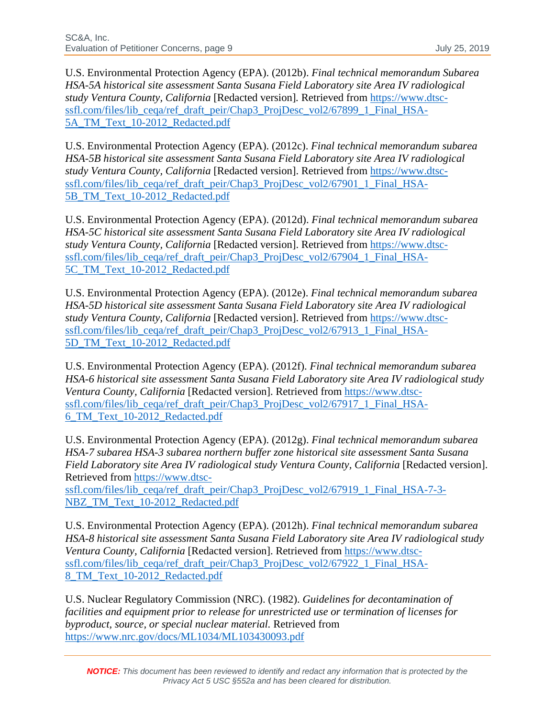U.S. Environmental Protection Agency (EPA). (2012b). *Final technical memorandum Subarea HSA-5A historical site assessment Santa Susana Field Laboratory site Area IV radiological study Ventura County, California* [Redacted version]*.* Retrieved from [https://www.dtsc](https://www.dtsc-ssfl.com/files/lib_ceqa/ref_draft_peir/Chap3_ProjDesc_vol2/67899_1_Final_HSA-5A_TM_Text_10-2012_Redacted.pdf)[ssfl.com/files/lib\\_ceqa/ref\\_draft\\_peir/Chap3\\_ProjDesc\\_vol2/67899\\_1\\_Final\\_HSA-](https://www.dtsc-ssfl.com/files/lib_ceqa/ref_draft_peir/Chap3_ProjDesc_vol2/67899_1_Final_HSA-5A_TM_Text_10-2012_Redacted.pdf)5A\_TM\_Text\_10-2012\_Redacted.pdf

U.S. Environmental Protection Agency (EPA). (2012c). *Final technical memorandum subarea HSA-5B historical site assessment Santa Susana Field Laboratory site Area IV radiological study Ventura County, California* [Redacted version]. Retrieved from [https://www.dtsc](https://www.dtsc-ssfl.com/files/lib_ceqa/ref_draft_peir/Chap3_ProjDesc_vol2/67901_1_Final_HSA-5B_TM_Text_10-2012_Redacted.pdf)[ssfl.com/files/lib\\_ceqa/ref\\_draft\\_peir/Chap3\\_ProjDesc\\_vol2/67901\\_1\\_Final\\_HSA-](https://www.dtsc-ssfl.com/files/lib_ceqa/ref_draft_peir/Chap3_ProjDesc_vol2/67901_1_Final_HSA-5B_TM_Text_10-2012_Redacted.pdf)5B\_TM\_Text\_10-2012\_Redacted.pdf

U.S. Environmental Protection Agency (EPA). (2012d). *Final technical memorandum subarea HSA-5C historical site assessment Santa Susana Field Laboratory site Area IV radiological study Ventura County, California* [Redacted version]. Retrieved from [https://www.dtsc](https://www.dtsc-ssfl.com/files/lib_ceqa/ref_draft_peir/Chap3_ProjDesc_vol2/67904_1_Final_HSA-5C_TM_Text_10-2012_Redacted.pdf)[ssfl.com/files/lib\\_ceqa/ref\\_draft\\_peir/Chap3\\_ProjDesc\\_vol2/67904\\_1\\_Final\\_HSA-](https://www.dtsc-ssfl.com/files/lib_ceqa/ref_draft_peir/Chap3_ProjDesc_vol2/67904_1_Final_HSA-5C_TM_Text_10-2012_Redacted.pdf)[5C\\_TM\\_Text\\_10-2012\\_Redacted.pdf](https://www.dtsc-ssfl.com/files/lib_ceqa/ref_draft_peir/Chap3_ProjDesc_vol2/67904_1_Final_HSA-5C_TM_Text_10-2012_Redacted.pdf) 

U.S. Environmental Protection Agency (EPA). (2012e). *Final technical memorandum subarea HSA-5D historical site assessment Santa Susana Field Laboratory site Area IV radiological study Ventura County, California* [Redacted version]. Retrieved from [https://www.dtsc](https://www.dtsc-ssfl.com/files/lib_ceqa/ref_draft_peir/Chap3_ProjDesc_vol2/67913_1_Final_HSA-5D_TM_Text_10-2012_Redacted.pdf)[ssfl.com/files/lib\\_ceqa/ref\\_draft\\_peir/Chap3\\_ProjDesc\\_vol2/67913\\_1\\_Final\\_HSA-](https://www.dtsc-ssfl.com/files/lib_ceqa/ref_draft_peir/Chap3_ProjDesc_vol2/67913_1_Final_HSA-5D_TM_Text_10-2012_Redacted.pdf)[5D\\_TM\\_Text\\_10-2012\\_Redacted.pdf](https://www.dtsc-ssfl.com/files/lib_ceqa/ref_draft_peir/Chap3_ProjDesc_vol2/67913_1_Final_HSA-5D_TM_Text_10-2012_Redacted.pdf) 

U.S. Environmental Protection Agency (EPA). (2012f). *Final technical memorandum subarea HSA-6 historical site assessment Santa Susana Field Laboratory site Area IV radiological study Ventura County, California* [Redacted version]. Retrieved from [https://www.dtsc](https://www.dtsc-ssfl.com/files/lib_ceqa/ref_draft_peir/Chap3_ProjDesc_vol2/67917_1_Final_HSA-6_TM_Text_10-2012_Redacted.pdf)[ssfl.com/files/lib\\_ceqa/ref\\_draft\\_peir/Chap3\\_ProjDesc\\_vol2/67917\\_1\\_Final\\_HSA-](https://www.dtsc-ssfl.com/files/lib_ceqa/ref_draft_peir/Chap3_ProjDesc_vol2/67917_1_Final_HSA-6_TM_Text_10-2012_Redacted.pdf)[6\\_TM\\_Text\\_10-2012\\_Redacted.pdf](https://www.dtsc-ssfl.com/files/lib_ceqa/ref_draft_peir/Chap3_ProjDesc_vol2/67917_1_Final_HSA-6_TM_Text_10-2012_Redacted.pdf) 

U.S. Environmental Protection Agency (EPA). (2012g). *Final technical memorandum subarea HSA-7 subarea HSA-3 subarea northern buffer zone historical site assessment Santa Susana Field Laboratory site Area IV radiological study Ventura County, California* [Redacted version]. Retrieved from [https://www.dtsc-](https://www.dtsc-ssfl.com/files/lib_ceqa/ref_draft_peir/Chap3_ProjDesc_vol2/67919_1_Final_HSA-7-3-NBZ_TM_Text_10-2012_Redacted.pdf)

[ssfl.com/files/lib\\_ceqa/ref\\_draft\\_peir/Chap3\\_ProjDesc\\_vol2/67919\\_1\\_Final\\_HSA-7-3-](https://www.dtsc-ssfl.com/files/lib_ceqa/ref_draft_peir/Chap3_ProjDesc_vol2/67919_1_Final_HSA-7-3-NBZ_TM_Text_10-2012_Redacted.pdf) [NBZ\\_TM\\_Text\\_10-2012\\_Redacted.pdf](https://www.dtsc-ssfl.com/files/lib_ceqa/ref_draft_peir/Chap3_ProjDesc_vol2/67919_1_Final_HSA-7-3-NBZ_TM_Text_10-2012_Redacted.pdf) 

U.S. Environmental Protection Agency (EPA). (2012h). *Final technical memorandum subarea HSA-8 historical site assessment Santa Susana Field Laboratory site Area IV radiological study Ventura County, California* [Redacted version]. Retrieved from [https://www.dtsc](https://www.dtsc-ssfl.com/files/lib_ceqa/ref_draft_peir/Chap3_ProjDesc_vol2/67922_1_Final_HSA-8_TM_Text_10-2012_Redacted.pdf)[ssfl.com/files/lib\\_ceqa/ref\\_draft\\_peir/Chap3\\_ProjDesc\\_vol2/67922\\_1\\_Final\\_HSA-](https://www.dtsc-ssfl.com/files/lib_ceqa/ref_draft_peir/Chap3_ProjDesc_vol2/67922_1_Final_HSA-8_TM_Text_10-2012_Redacted.pdf)8 TM Text 10-2012 Redacted.pdf

U.S. Nuclear Regulatory Commission (NRC). (1982). *Guidelines for decontamination of facilities and equipment prior to release for unrestricted use or termination of licenses for byproduct, source, or special nuclear material.* Retrieved from <https://www.nrc.gov/docs/ML1034/ML103430093.pdf>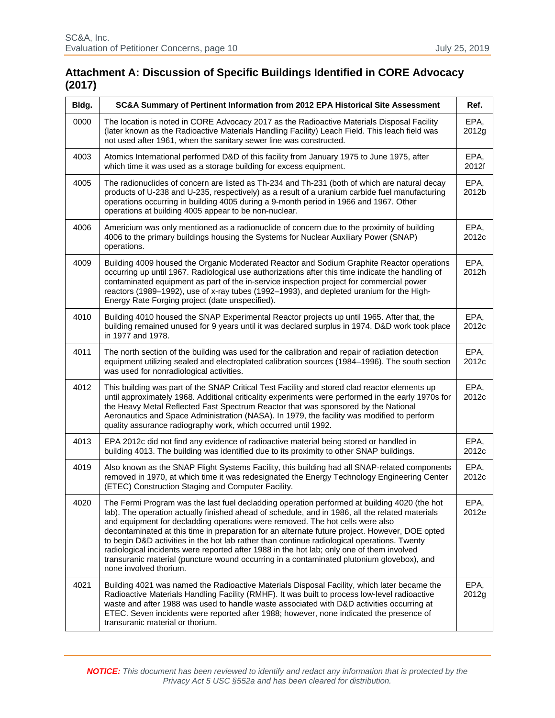# **Attachment A: Discussion of Specific Buildings Identified in CORE Advocacy (2017)**

| Bldg. | SC&A Summary of Pertinent Information from 2012 EPA Historical Site Assessment                                                                                                                                                                                                                                                                                                                                                                                                                                                                                                                                                                                                                        | Ref.          |
|-------|-------------------------------------------------------------------------------------------------------------------------------------------------------------------------------------------------------------------------------------------------------------------------------------------------------------------------------------------------------------------------------------------------------------------------------------------------------------------------------------------------------------------------------------------------------------------------------------------------------------------------------------------------------------------------------------------------------|---------------|
| 0000  | The location is noted in CORE Advocacy 2017 as the Radioactive Materials Disposal Facility<br>(later known as the Radioactive Materials Handling Facility) Leach Field. This leach field was<br>not used after 1961, when the sanitary sewer line was constructed.                                                                                                                                                                                                                                                                                                                                                                                                                                    | EPA,<br>2012g |
| 4003  | Atomics International performed D&D of this facility from January 1975 to June 1975, after<br>which time it was used as a storage building for excess equipment.                                                                                                                                                                                                                                                                                                                                                                                                                                                                                                                                      | EPA,<br>2012f |
| 4005  | The radionuclides of concern are listed as Th-234 and Th-231 (both of which are natural decay<br>products of U-238 and U-235, respectively) as a result of a uranium carbide fuel manufacturing<br>operations occurring in building 4005 during a 9-month period in 1966 and 1967. Other<br>operations at building 4005 appear to be non-nuclear.                                                                                                                                                                                                                                                                                                                                                     | EPA,<br>2012b |
| 4006  | Americium was only mentioned as a radionuclide of concern due to the proximity of building<br>4006 to the primary buildings housing the Systems for Nuclear Auxiliary Power (SNAP)<br>operations.                                                                                                                                                                                                                                                                                                                                                                                                                                                                                                     | EPA,<br>2012c |
| 4009  | Building 4009 housed the Organic Moderated Reactor and Sodium Graphite Reactor operations<br>occurring up until 1967. Radiological use authorizations after this time indicate the handling of<br>contaminated equipment as part of the in-service inspection project for commercial power<br>reactors (1989–1992), use of x-ray tubes (1992–1993), and depleted uranium for the High-<br>Energy Rate Forging project (date unspecified).                                                                                                                                                                                                                                                             | EPA,<br>2012h |
| 4010  | Building 4010 housed the SNAP Experimental Reactor projects up until 1965. After that, the<br>building remained unused for 9 years until it was declared surplus in 1974. D&D work took place<br>in 1977 and 1978.                                                                                                                                                                                                                                                                                                                                                                                                                                                                                    | EPA,<br>2012c |
| 4011  | The north section of the building was used for the calibration and repair of radiation detection<br>equipment utilizing sealed and electroplated calibration sources (1984-1996). The south section<br>was used for nonradiological activities.                                                                                                                                                                                                                                                                                                                                                                                                                                                       | EPA,<br>2012c |
| 4012  | This building was part of the SNAP Critical Test Facility and stored clad reactor elements up<br>until approximately 1968. Additional criticality experiments were performed in the early 1970s for<br>the Heavy Metal Reflected Fast Spectrum Reactor that was sponsored by the National<br>Aeronautics and Space Administration (NASA). In 1979, the facility was modified to perform<br>quality assurance radiography work, which occurred until 1992.                                                                                                                                                                                                                                             | EPA,<br>2012c |
| 4013  | EPA 2012c did not find any evidence of radioactive material being stored or handled in<br>building 4013. The building was identified due to its proximity to other SNAP buildings.                                                                                                                                                                                                                                                                                                                                                                                                                                                                                                                    | EPA,<br>2012c |
| 4019  | Also known as the SNAP Flight Systems Facility, this building had all SNAP-related components<br>removed in 1970, at which time it was redesignated the Energy Technology Engineering Center<br>(ETEC) Construction Staging and Computer Facility.                                                                                                                                                                                                                                                                                                                                                                                                                                                    | EPA,<br>2012c |
| 4020  | The Fermi Program was the last fuel decladding operation performed at building 4020 (the hot<br>lab). The operation actually finished ahead of schedule, and in 1986, all the related materials<br>and equipment for decladding operations were removed. The hot cells were also<br>decontaminated at this time in preparation for an alternate future project. However, DOE opted<br>to begin D&D activities in the hot lab rather than continue radiological operations. Twenty<br>radiological incidents were reported after 1988 in the hot lab; only one of them involved<br>transuranic material (puncture wound occurring in a contaminated plutonium glovebox), and<br>none involved thorium. | EPA,<br>2012e |
| 4021  | Building 4021 was named the Radioactive Materials Disposal Facility, which later became the<br>Radioactive Materials Handling Facility (RMHF). It was built to process low-level radioactive<br>waste and after 1988 was used to handle waste associated with D&D activities occurring at<br>ETEC. Seven incidents were reported after 1988; however, none indicated the presence of<br>transuranic material or thorium.                                                                                                                                                                                                                                                                              | EPA,<br>2012g |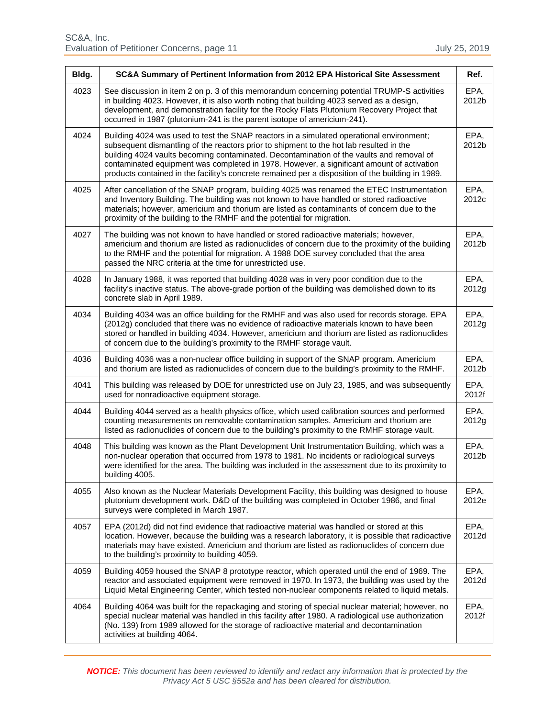| Bldg. | SC&A Summary of Pertinent Information from 2012 EPA Historical Site Assessment                                                                                                                                                                                                                                                                                                                                                                                                    | Ref.          |
|-------|-----------------------------------------------------------------------------------------------------------------------------------------------------------------------------------------------------------------------------------------------------------------------------------------------------------------------------------------------------------------------------------------------------------------------------------------------------------------------------------|---------------|
| 4023  | See discussion in item 2 on p. 3 of this memorandum concerning potential TRUMP-S activities<br>in building 4023. However, it is also worth noting that building 4023 served as a design,<br>development, and demonstration facility for the Rocky Flats Plutonium Recovery Project that<br>occurred in 1987 (plutonium-241 is the parent isotope of americium-241).                                                                                                               | EPA,<br>2012b |
| 4024  | Building 4024 was used to test the SNAP reactors in a simulated operational environment;<br>subsequent dismantling of the reactors prior to shipment to the hot lab resulted in the<br>building 4024 vaults becoming contaminated. Decontamination of the vaults and removal of<br>contaminated equipment was completed in 1978. However, a significant amount of activation<br>products contained in the facility's concrete remained per a disposition of the building in 1989. | EPA,<br>2012b |
| 4025  | After cancellation of the SNAP program, building 4025 was renamed the ETEC Instrumentation<br>and Inventory Building. The building was not known to have handled or stored radioactive<br>materials; however, americium and thorium are listed as contaminants of concern due to the<br>proximity of the building to the RMHF and the potential for migration.                                                                                                                    | EPA,<br>2012c |
| 4027  | The building was not known to have handled or stored radioactive materials; however,<br>americium and thorium are listed as radionuclides of concern due to the proximity of the building<br>to the RMHF and the potential for migration. A 1988 DOE survey concluded that the area<br>passed the NRC criteria at the time for unrestricted use.                                                                                                                                  | EPA,<br>2012b |
| 4028  | In January 1988, it was reported that building 4028 was in very poor condition due to the<br>facility's inactive status. The above-grade portion of the building was demolished down to its<br>concrete slab in April 1989.                                                                                                                                                                                                                                                       | EPA,<br>2012g |
| 4034  | Building 4034 was an office building for the RMHF and was also used for records storage. EPA<br>(2012g) concluded that there was no evidence of radioactive materials known to have been<br>stored or handled in building 4034. However, americium and thorium are listed as radionuclides<br>of concern due to the building's proximity to the RMHF storage vault.                                                                                                               | EPA,<br>2012g |
| 4036  | Building 4036 was a non-nuclear office building in support of the SNAP program. Americium<br>and thorium are listed as radionuclides of concern due to the building's proximity to the RMHF.                                                                                                                                                                                                                                                                                      | EPA,<br>2012b |
| 4041  | This building was released by DOE for unrestricted use on July 23, 1985, and was subsequently<br>used for nonradioactive equipment storage.                                                                                                                                                                                                                                                                                                                                       | EPA,<br>2012f |
| 4044  | Building 4044 served as a health physics office, which used calibration sources and performed<br>counting measurements on removable contamination samples. Americium and thorium are<br>listed as radionuclides of concern due to the building's proximity to the RMHF storage vault.                                                                                                                                                                                             | EPA,<br>2012g |
| 4048  | This building was known as the Plant Development Unit Instrumentation Building, which was a<br>non-nuclear operation that occurred from 1978 to 1981. No incidents or radiological surveys<br>were identified for the area. The building was included in the assessment due to its proximity to<br>building 4005.                                                                                                                                                                 | EPA,<br>2012b |
| 4055  | Also known as the Nuclear Materials Development Facility, this building was designed to house<br>plutonium development work. D&D of the building was completed in October 1986, and final<br>surveys were completed in March 1987.                                                                                                                                                                                                                                                | EPA,<br>2012e |
| 4057  | EPA (2012d) did not find evidence that radioactive material was handled or stored at this<br>location. However, because the building was a research laboratory, it is possible that radioactive<br>materials may have existed. Americium and thorium are listed as radionuclides of concern due<br>to the building's proximity to building 4059.                                                                                                                                  | EPA,<br>2012d |
| 4059  | Building 4059 housed the SNAP 8 prototype reactor, which operated until the end of 1969. The<br>reactor and associated equipment were removed in 1970. In 1973, the building was used by the<br>Liquid Metal Engineering Center, which tested non-nuclear components related to liquid metals.                                                                                                                                                                                    | EPA,<br>2012d |
| 4064  | Building 4064 was built for the repackaging and storing of special nuclear material; however, no<br>special nuclear material was handled in this facility after 1980. A radiological use authorization<br>(No. 139) from 1989 allowed for the storage of radioactive material and decontamination<br>activities at building 4064.                                                                                                                                                 | EPA,<br>2012f |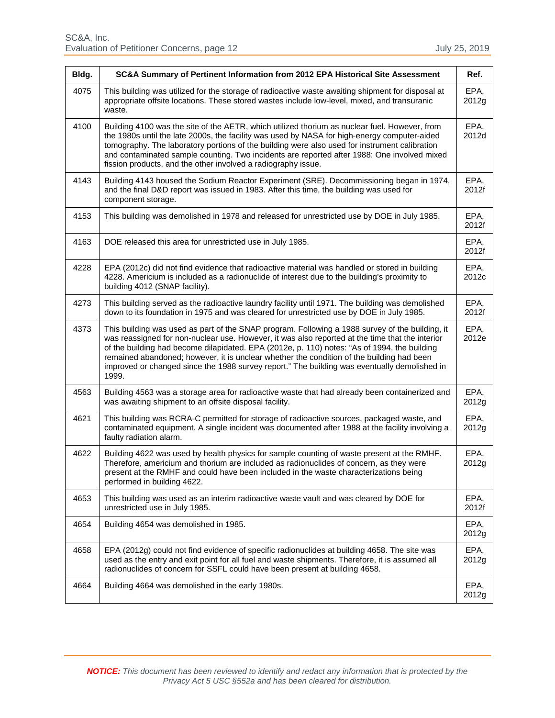| Bldg. | SC&A Summary of Pertinent Information from 2012 EPA Historical Site Assessment                                                                                                                                                                                                                                                                                                                                                                                                                           | Ref.          |
|-------|----------------------------------------------------------------------------------------------------------------------------------------------------------------------------------------------------------------------------------------------------------------------------------------------------------------------------------------------------------------------------------------------------------------------------------------------------------------------------------------------------------|---------------|
| 4075  | This building was utilized for the storage of radioactive waste awaiting shipment for disposal at<br>appropriate offsite locations. These stored wastes include low-level, mixed, and transuranic<br>waste.                                                                                                                                                                                                                                                                                              | EPA,<br>2012g |
| 4100  | Building 4100 was the site of the AETR, which utilized thorium as nuclear fuel. However, from<br>the 1980s until the late 2000s, the facility was used by NASA for high-energy computer-aided<br>tomography. The laboratory portions of the building were also used for instrument calibration<br>and contaminated sample counting. Two incidents are reported after 1988: One involved mixed<br>fission products, and the other involved a radiography issue.                                           | EPA,<br>2012d |
| 4143  | Building 4143 housed the Sodium Reactor Experiment (SRE). Decommissioning began in 1974,<br>and the final D&D report was issued in 1983. After this time, the building was used for<br>component storage.                                                                                                                                                                                                                                                                                                | EPA,<br>2012f |
| 4153  | This building was demolished in 1978 and released for unrestricted use by DOE in July 1985.                                                                                                                                                                                                                                                                                                                                                                                                              | EPA,<br>2012f |
| 4163  | DOE released this area for unrestricted use in July 1985.                                                                                                                                                                                                                                                                                                                                                                                                                                                | EPA,<br>2012f |
| 4228  | EPA (2012c) did not find evidence that radioactive material was handled or stored in building<br>4228. Americium is included as a radionuclide of interest due to the building's proximity to<br>building 4012 (SNAP facility).                                                                                                                                                                                                                                                                          | EPA,<br>2012c |
| 4273  | This building served as the radioactive laundry facility until 1971. The building was demolished<br>down to its foundation in 1975 and was cleared for unrestricted use by DOE in July 1985.                                                                                                                                                                                                                                                                                                             | EPA,<br>2012f |
| 4373  | This building was used as part of the SNAP program. Following a 1988 survey of the building, it<br>was reassigned for non-nuclear use. However, it was also reported at the time that the interior<br>of the building had become dilapidated. EPA (2012e, p. 110) notes: "As of 1994, the building<br>remained abandoned; however, it is unclear whether the condition of the building had been<br>improved or changed since the 1988 survey report." The building was eventually demolished in<br>1999. | EPA,<br>2012e |
| 4563  | Building 4563 was a storage area for radioactive waste that had already been containerized and<br>was awaiting shipment to an offsite disposal facility.                                                                                                                                                                                                                                                                                                                                                 | EPA,<br>2012g |
| 4621  | This building was RCRA-C permitted for storage of radioactive sources, packaged waste, and<br>contaminated equipment. A single incident was documented after 1988 at the facility involving a<br>faulty radiation alarm.                                                                                                                                                                                                                                                                                 | EPA,<br>2012g |
| 4622  | Building 4622 was used by health physics for sample counting of waste present at the RMHF.<br>Therefore, americium and thorium are included as radionuclides of concern, as they were<br>present at the RMHF and could have been included in the waste characterizations being<br>performed in building 4622.                                                                                                                                                                                            | EPA,<br>2012g |
| 4653  | This building was used as an interim radioactive waste vault and was cleared by DOE for<br>unrestricted use in July 1985.                                                                                                                                                                                                                                                                                                                                                                                | EPA,<br>2012f |
| 4654  | Building 4654 was demolished in 1985.                                                                                                                                                                                                                                                                                                                                                                                                                                                                    | EPA,<br>2012g |
| 4658  | EPA (2012g) could not find evidence of specific radionuclides at building 4658. The site was<br>used as the entry and exit point for all fuel and waste shipments. Therefore, it is assumed all<br>radionuclides of concern for SSFL could have been present at building 4658.                                                                                                                                                                                                                           | EPA,<br>2012g |
| 4664  | Building 4664 was demolished in the early 1980s.                                                                                                                                                                                                                                                                                                                                                                                                                                                         | EPA,<br>2012g |